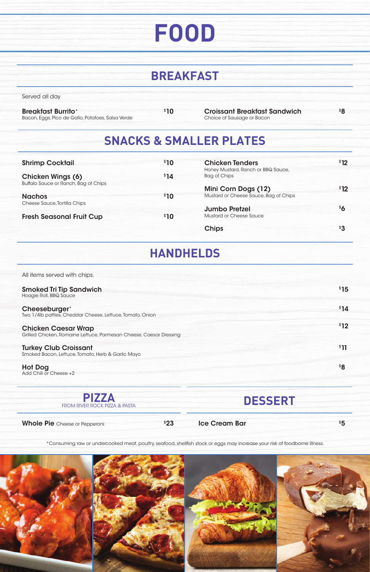\*Consuming raw or undercooked meat, poultry, seafood, shellfish stock or eggs may increase your risk of foodborne illness.



### **BREAKFAST**

### **SNACKS & SMALLER PLATES**

| <b>Breakfast Burrito*</b>                         |
|---------------------------------------------------|
| Bacon, Eggs, Pico de Gallo, Potatoes, Salsa Verde |

Croissant Breakfast Sandwich \$10 \$8 Choice of Sausage or Bacon

Served all day

**PIZZA** FROM RIVER ROCK PIZZA & PASTA

### **HANDHELDS**



#### Ice Cream Bar  $$5$

## **FOOD**

| <b>Shrimp Cocktail</b>               | \$10             | <b>Chicken Tenders</b>                | \$12 |
|--------------------------------------|------------------|---------------------------------------|------|
|                                      |                  | Honey Mustard, Ranch or BBQ Sauce,    |      |
| <b>Chicken Wings (6)</b>             | <sup>\$</sup> 14 | Bag of Chips                          |      |
| Buffalo Sauce or Ranch, Bag of Chips |                  |                                       |      |
|                                      |                  | Mini Corn Dogs (12)                   | \$12 |
| <b>Nachos</b>                        | \$10             | Mustard or Cheese Sauce, Bag of Chips |      |
| Cheese Sauce, Tortilla Chips         |                  |                                       |      |
|                                      |                  | <b>Jumbo Pretzel</b>                  | \$6  |
| <b>Fresh Seasonal Fruit Cup</b>      | \$10             | <b>Mustard or Cheese Sauce</b>        |      |
|                                      |                  |                                       |      |
|                                      |                  | <b>Chips</b>                          | \$3  |

| All items served with chips.                                                                     |      |
|--------------------------------------------------------------------------------------------------|------|
| <b>Smoked Tri Tip Sandwich</b><br>Hoagie Roll, BBQ Sauce                                         | \$15 |
| Cheeseburger*<br>Two 1/4lb patties, Cheddar Cheese, Lettuce, Tomato, Onion                       | \$14 |
| <b>Chicken Caesar Wrap</b><br>Grilled Chicken, Romaine Lettuce, Parmesan Cheese, Caesar Dressing | \$12 |
| <b>Turkey Club Croissant</b><br>Smoked Bacon, Lettuce, Tomato, Herb & Garlic Mayo                | \$11 |
| <b>Hot Dog</b><br>Add Chili or Cheese +2                                                         | \$8  |